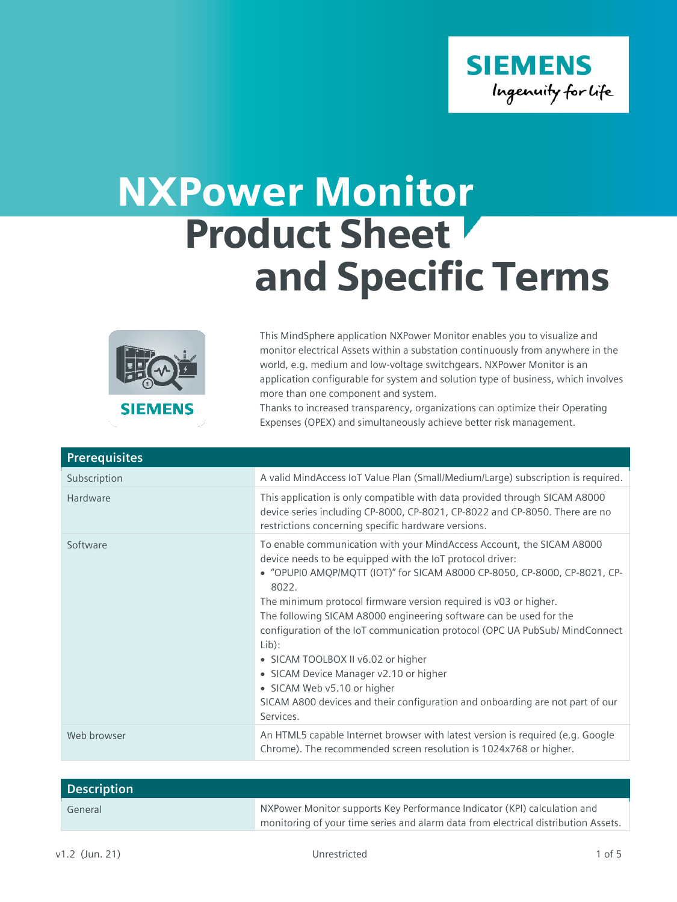

## NXPower Monitor Product Sheet and Specific Terms



This MindSphere application NXPower Monitor enables you to visualize and monitor electrical Assets within a substation continuously from anywhere in the world, e.g. medium and low-voltage switchgears. NXPower Monitor is an application configurable for system and solution type of business, which involves more than one component and system.

Thanks to increased transparency, organizations can optimize their Operating Expenses (OPEX) and simultaneously achieve better risk management.

| <b>Prerequisites</b> |                                                                                                                                                                                                                                                                                                                                                                                                                                                                                                                                                                                                                                                                         |
|----------------------|-------------------------------------------------------------------------------------------------------------------------------------------------------------------------------------------------------------------------------------------------------------------------------------------------------------------------------------------------------------------------------------------------------------------------------------------------------------------------------------------------------------------------------------------------------------------------------------------------------------------------------------------------------------------------|
| Subscription         | A valid MindAccess IoT Value Plan (Small/Medium/Large) subscription is required.                                                                                                                                                                                                                                                                                                                                                                                                                                                                                                                                                                                        |
| Hardware             | This application is only compatible with data provided through SICAM A8000<br>device series including CP-8000, CP-8021, CP-8022 and CP-8050. There are no<br>restrictions concerning specific hardware versions.                                                                                                                                                                                                                                                                                                                                                                                                                                                        |
| Software             | To enable communication with your MindAccess Account, the SICAM A8000<br>device needs to be equipped with the IoT protocol driver:<br>• "OPUPIO AMQP/MQTT (IOT)" for SICAM A8000 CP-8050, CP-8000, CP-8021, CP-<br>8022.<br>The minimum protocol firmware version required is v03 or higher.<br>The following SICAM A8000 engineering software can be used for the<br>configuration of the IoT communication protocol (OPC UA PubSub/ MindConnect<br>Lib):<br>• SICAM TOOLBOX II v6.02 or higher<br>• SICAM Device Manager v2.10 or higher<br>• SICAM Web v5.10 or higher<br>SICAM A800 devices and their configuration and onboarding are not part of our<br>Services. |
| Web browser          | An HTML5 capable Internet browser with latest version is required (e.g. Google<br>Chrome). The recommended screen resolution is 1024x768 or higher.                                                                                                                                                                                                                                                                                                                                                                                                                                                                                                                     |

| <b>Description</b> |                                                                                                                                                                |
|--------------------|----------------------------------------------------------------------------------------------------------------------------------------------------------------|
| General            | NXPower Monitor supports Key Performance Indicator (KPI) calculation and<br>monitoring of your time series and alarm data from electrical distribution Assets. |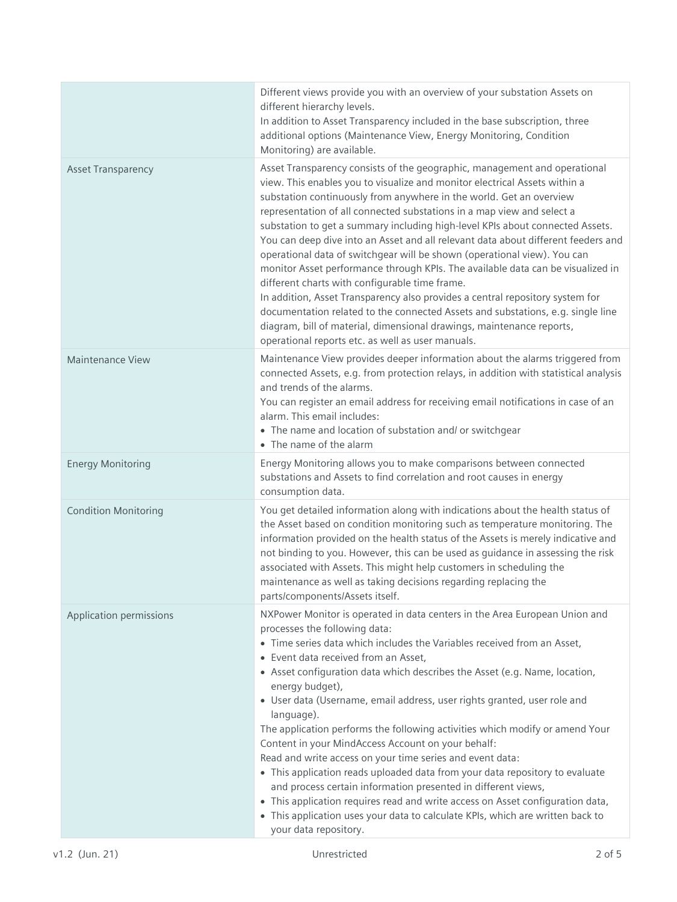|                             | Different views provide you with an overview of your substation Assets on<br>different hierarchy levels.<br>In addition to Asset Transparency included in the base subscription, three<br>additional options (Maintenance View, Energy Monitoring, Condition<br>Monitoring) are available.                                                                                                                                                                                                                                                                                                                                                                                                                                                                                                                                                                                                                                                                                                        |
|-----------------------------|---------------------------------------------------------------------------------------------------------------------------------------------------------------------------------------------------------------------------------------------------------------------------------------------------------------------------------------------------------------------------------------------------------------------------------------------------------------------------------------------------------------------------------------------------------------------------------------------------------------------------------------------------------------------------------------------------------------------------------------------------------------------------------------------------------------------------------------------------------------------------------------------------------------------------------------------------------------------------------------------------|
| <b>Asset Transparency</b>   | Asset Transparency consists of the geographic, management and operational<br>view. This enables you to visualize and monitor electrical Assets within a<br>substation continuously from anywhere in the world. Get an overview<br>representation of all connected substations in a map view and select a<br>substation to get a summary including high-level KPIs about connected Assets.<br>You can deep dive into an Asset and all relevant data about different feeders and<br>operational data of switchgear will be shown (operational view). You can<br>monitor Asset performance through KPIs. The available data can be visualized in<br>different charts with configurable time frame.<br>In addition, Asset Transparency also provides a central repository system for<br>documentation related to the connected Assets and substations, e.g. single line<br>diagram, bill of material, dimensional drawings, maintenance reports,<br>operational reports etc. as well as user manuals. |
| <b>Maintenance View</b>     | Maintenance View provides deeper information about the alarms triggered from<br>connected Assets, e.g. from protection relays, in addition with statistical analysis<br>and trends of the alarms.<br>You can register an email address for receiving email notifications in case of an<br>alarm. This email includes:<br>• The name and location of substation and/ or switchgear<br>• The name of the alarm                                                                                                                                                                                                                                                                                                                                                                                                                                                                                                                                                                                      |
| <b>Energy Monitoring</b>    | Energy Monitoring allows you to make comparisons between connected<br>substations and Assets to find correlation and root causes in energy<br>consumption data.                                                                                                                                                                                                                                                                                                                                                                                                                                                                                                                                                                                                                                                                                                                                                                                                                                   |
| <b>Condition Monitoring</b> | You get detailed information along with indications about the health status of<br>the Asset based on condition monitoring such as temperature monitoring. The<br>information provided on the health status of the Assets is merely indicative and<br>not binding to you. However, this can be used as guidance in assessing the risk<br>associated with Assets. This might help customers in scheduling the<br>maintenance as well as taking decisions regarding replacing the<br>parts/components/Assets itself.                                                                                                                                                                                                                                                                                                                                                                                                                                                                                 |
| Application permissions     | NXPower Monitor is operated in data centers in the Area European Union and<br>processes the following data:<br>• Time series data which includes the Variables received from an Asset,<br>• Event data received from an Asset,<br>• Asset configuration data which describes the Asset (e.g. Name, location,<br>energy budget),<br>• User data (Username, email address, user rights granted, user role and<br>language).<br>The application performs the following activities which modify or amend Your<br>Content in your MindAccess Account on your behalf:<br>Read and write access on your time series and event data:<br>• This application reads uploaded data from your data repository to evaluate<br>and process certain information presented in different views,<br>• This application requires read and write access on Asset configuration data,<br>• This application uses your data to calculate KPIs, which are written back to<br>your data repository.                        |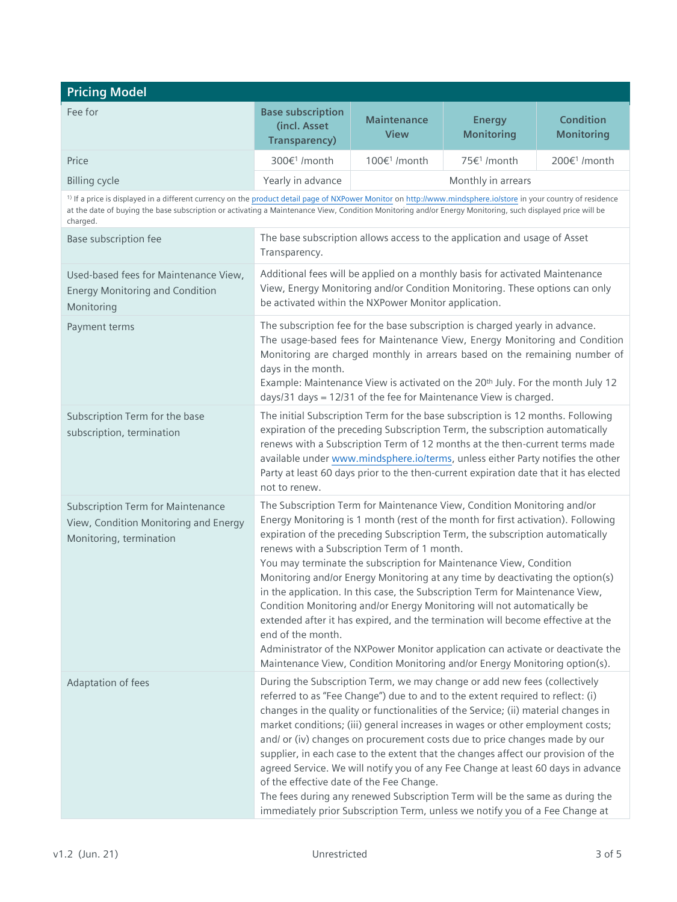| <b>Pricing Model</b>                                                                                         |                                                                                                                                                                                                                                                                                                                                         |                                             |                                                                                                                                                                                                                                                                                                                                                                                                                                                                                                                                                                                                                                                                                                                                                                                                                     |                                       |
|--------------------------------------------------------------------------------------------------------------|-----------------------------------------------------------------------------------------------------------------------------------------------------------------------------------------------------------------------------------------------------------------------------------------------------------------------------------------|---------------------------------------------|---------------------------------------------------------------------------------------------------------------------------------------------------------------------------------------------------------------------------------------------------------------------------------------------------------------------------------------------------------------------------------------------------------------------------------------------------------------------------------------------------------------------------------------------------------------------------------------------------------------------------------------------------------------------------------------------------------------------------------------------------------------------------------------------------------------------|---------------------------------------|
| Fee for                                                                                                      | <b>Base subscription</b><br>(incl. Asset<br><b>Transparency)</b>                                                                                                                                                                                                                                                                        | <b>Maintenance</b><br><b>View</b>           | <b>Energy</b><br><b>Monitoring</b>                                                                                                                                                                                                                                                                                                                                                                                                                                                                                                                                                                                                                                                                                                                                                                                  | <b>Condition</b><br><b>Monitoring</b> |
| Price                                                                                                        | 300€ <sup>1</sup> /month                                                                                                                                                                                                                                                                                                                | 100€ <sup>1</sup> /month                    | 75€ <sup>1</sup> /month                                                                                                                                                                                                                                                                                                                                                                                                                                                                                                                                                                                                                                                                                                                                                                                             | 200€ <sup>1</sup> /month              |
| <b>Billing cycle</b>                                                                                         | Yearly in advance                                                                                                                                                                                                                                                                                                                       |                                             | Monthly in arrears                                                                                                                                                                                                                                                                                                                                                                                                                                                                                                                                                                                                                                                                                                                                                                                                  |                                       |
| charged.                                                                                                     | <sup>1)</sup> If a price is displayed in a different currency on the product detail page of NXPower Monitor on http://www.mindsphere.io/store in your country of residence<br>at the date of buying the base subscription or activating a Maintenance View, Condition Monitoring and/or Energy Monitoring, such displayed price will be |                                             |                                                                                                                                                                                                                                                                                                                                                                                                                                                                                                                                                                                                                                                                                                                                                                                                                     |                                       |
| Base subscription fee                                                                                        | The base subscription allows access to the application and usage of Asset<br>Transparency.                                                                                                                                                                                                                                              |                                             |                                                                                                                                                                                                                                                                                                                                                                                                                                                                                                                                                                                                                                                                                                                                                                                                                     |                                       |
| Used-based fees for Maintenance View,<br><b>Energy Monitoring and Condition</b><br>Monitoring                | Additional fees will be applied on a monthly basis for activated Maintenance<br>View, Energy Monitoring and/or Condition Monitoring. These options can only<br>be activated within the NXPower Monitor application.                                                                                                                     |                                             |                                                                                                                                                                                                                                                                                                                                                                                                                                                                                                                                                                                                                                                                                                                                                                                                                     |                                       |
| Payment terms                                                                                                | days in the month.                                                                                                                                                                                                                                                                                                                      |                                             | The subscription fee for the base subscription is charged yearly in advance.<br>The usage-based fees for Maintenance View, Energy Monitoring and Condition<br>Monitoring are charged monthly in arrears based on the remaining number of<br>Example: Maintenance View is activated on the 20th July. For the month July 12<br>days/31 days = 12/31 of the fee for Maintenance View is charged.                                                                                                                                                                                                                                                                                                                                                                                                                      |                                       |
| Subscription Term for the base<br>subscription, termination                                                  | The initial Subscription Term for the base subscription is 12 months. Following<br>not to renew.                                                                                                                                                                                                                                        |                                             | expiration of the preceding Subscription Term, the subscription automatically<br>renews with a Subscription Term of 12 months at the then-current terms made<br>available under www.mindsphere.io/terms, unless either Party notifies the other<br>Party at least 60 days prior to the then-current expiration date that it has elected                                                                                                                                                                                                                                                                                                                                                                                                                                                                             |                                       |
| <b>Subscription Term for Maintenance</b><br>View, Condition Monitoring and Energy<br>Monitoring, termination | end of the month.                                                                                                                                                                                                                                                                                                                       | renews with a Subscription Term of 1 month. | The Subscription Term for Maintenance View, Condition Monitoring and/or<br>Energy Monitoring is 1 month (rest of the month for first activation). Following<br>expiration of the preceding Subscription Term, the subscription automatically<br>You may terminate the subscription for Maintenance View, Condition<br>Monitoring and/or Energy Monitoring at any time by deactivating the option(s)<br>in the application. In this case, the Subscription Term for Maintenance View,<br>Condition Monitoring and/or Energy Monitoring will not automatically be<br>extended after it has expired, and the termination will become effective at the<br>Administrator of the NXPower Monitor application can activate or deactivate the<br>Maintenance View, Condition Monitoring and/or Energy Monitoring option(s). |                                       |
| Adaptation of fees                                                                                           | of the effective date of the Fee Change.                                                                                                                                                                                                                                                                                                |                                             | During the Subscription Term, we may change or add new fees (collectively<br>referred to as "Fee Change") due to and to the extent required to reflect: (i)<br>changes in the quality or functionalities of the Service; (ii) material changes in<br>market conditions; (iii) general increases in wages or other employment costs;<br>and/ or (iv) changes on procurement costs due to price changes made by our<br>supplier, in each case to the extent that the changes affect our provision of the<br>agreed Service. We will notify you of any Fee Change at least 60 days in advance<br>The fees during any renewed Subscription Term will be the same as during the<br>immediately prior Subscription Term, unless we notify you of a Fee Change at                                                          |                                       |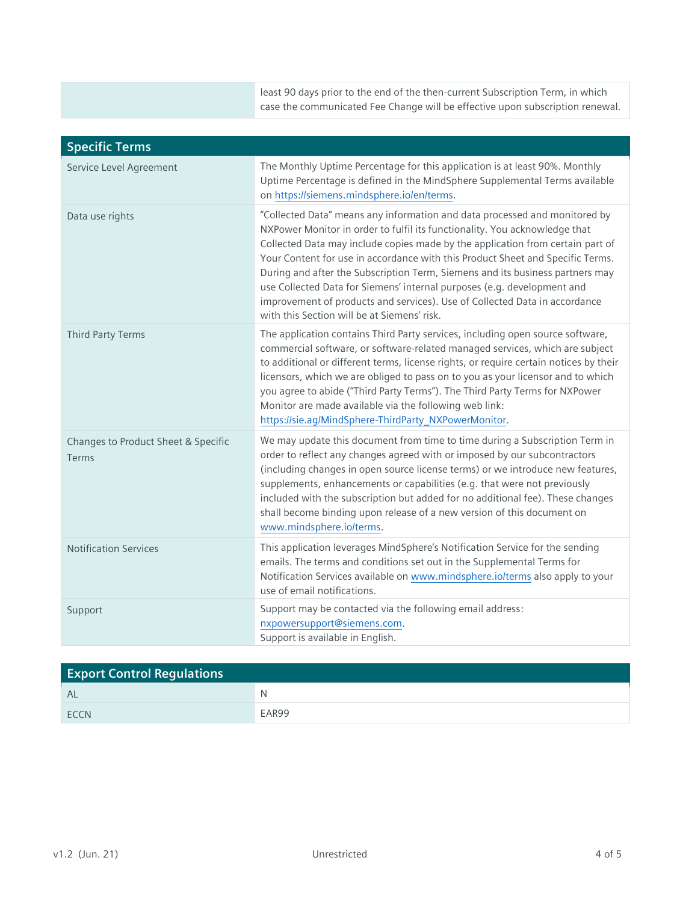| case the communicated Fee Change will be effective upon subscription renewal. |
|-------------------------------------------------------------------------------|
|-------------------------------------------------------------------------------|

| <b>Specific Terms</b>                        |                                                                                                                                                                                                                                                                                                                                                                                                                                                                                                                                                                                                                       |
|----------------------------------------------|-----------------------------------------------------------------------------------------------------------------------------------------------------------------------------------------------------------------------------------------------------------------------------------------------------------------------------------------------------------------------------------------------------------------------------------------------------------------------------------------------------------------------------------------------------------------------------------------------------------------------|
| Service Level Agreement                      | The Monthly Uptime Percentage for this application is at least 90%. Monthly<br>Uptime Percentage is defined in the MindSphere Supplemental Terms available<br>on https://siemens.mindsphere.io/en/terms.                                                                                                                                                                                                                                                                                                                                                                                                              |
| Data use rights                              | "Collected Data" means any information and data processed and monitored by<br>NXPower Monitor in order to fulfil its functionality. You acknowledge that<br>Collected Data may include copies made by the application from certain part of<br>Your Content for use in accordance with this Product Sheet and Specific Terms.<br>During and after the Subscription Term, Siemens and its business partners may<br>use Collected Data for Siemens' internal purposes (e.g. development and<br>improvement of products and services). Use of Collected Data in accordance<br>with this Section will be at Siemens' risk. |
| <b>Third Party Terms</b>                     | The application contains Third Party services, including open source software,<br>commercial software, or software-related managed services, which are subject<br>to additional or different terms, license rights, or require certain notices by their<br>licensors, which we are obliged to pass on to you as your licensor and to which<br>you agree to abide ("Third Party Terms"). The Third Party Terms for NXPower<br>Monitor are made available via the following web link:<br>https://sie.ag/MindSphere-ThirdParty_NXPowerMonitor.                                                                           |
| Changes to Product Sheet & Specific<br>Terms | We may update this document from time to time during a Subscription Term in<br>order to reflect any changes agreed with or imposed by our subcontractors<br>(including changes in open source license terms) or we introduce new features,<br>supplements, enhancements or capabilities (e.g. that were not previously<br>included with the subscription but added for no additional fee). These changes<br>shall become binding upon release of a new version of this document on<br>www.mindsphere.io/terms.                                                                                                        |
| <b>Notification Services</b>                 | This application leverages MindSphere's Notification Service for the sending<br>emails. The terms and conditions set out in the Supplemental Terms for<br>Notification Services available on www.mindsphere.io/terms also apply to your<br>use of email notifications.                                                                                                                                                                                                                                                                                                                                                |
| Support                                      | Support may be contacted via the following email address:<br>nxpowersupport@siemens.com.<br>Support is available in English.                                                                                                                                                                                                                                                                                                                                                                                                                                                                                          |

| <b>Export Control Regulations</b> |       |
|-----------------------------------|-------|
| AL                                | N     |
| <b>ECCN</b>                       | EAR99 |